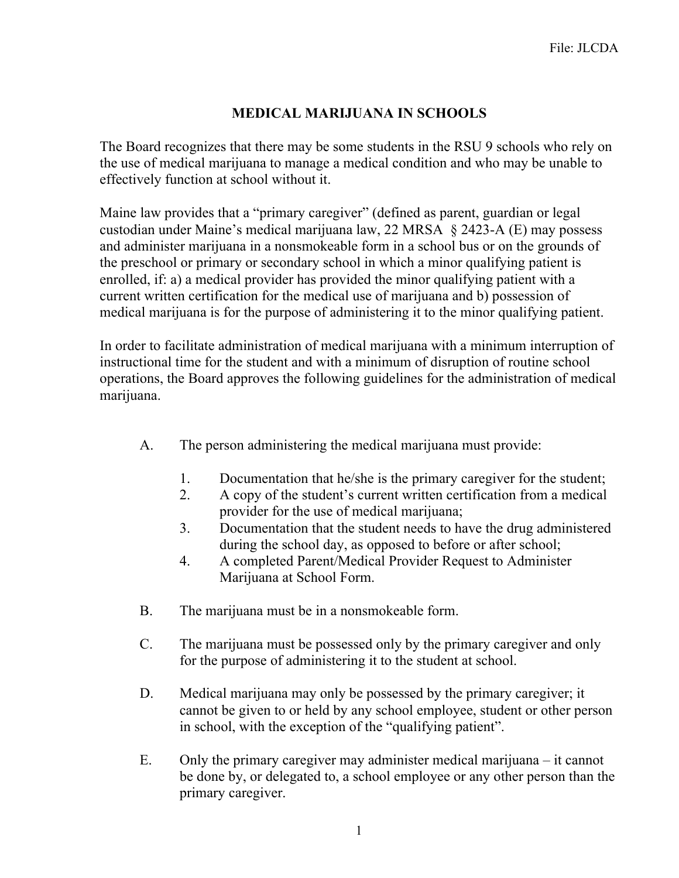## **MEDICAL MARIJUANA IN SCHOOLS**

The Board recognizes that there may be some students in the RSU 9 schools who rely on the use of medical marijuana to manage a medical condition and who may be unable to effectively function at school without it.

Maine law provides that a "primary caregiver" (defined as parent, guardian or legal custodian under Maine's medical marijuana law, 22 MRSA § 2423-A (E) may possess and administer marijuana in a nonsmokeable form in a school bus or on the grounds of the preschool or primary or secondary school in which a minor qualifying patient is enrolled, if: a) a medical provider has provided the minor qualifying patient with a current written certification for the medical use of marijuana and b) possession of medical marijuana is for the purpose of administering it to the minor qualifying patient.

In order to facilitate administration of medical marijuana with a minimum interruption of instructional time for the student and with a minimum of disruption of routine school operations, the Board approves the following guidelines for the administration of medical marijuana.

- A. The person administering the medical marijuana must provide:
	- 1. Documentation that he/she is the primary caregiver for the student;
	- 2. A copy of the student's current written certification from a medical provider for the use of medical marijuana;
	- 3. Documentation that the student needs to have the drug administered during the school day, as opposed to before or after school;
	- 4. A completed Parent/Medical Provider Request to Administer Marijuana at School Form.
- B. The marijuana must be in a nonsmokeable form.
- C. The marijuana must be possessed only by the primary caregiver and only for the purpose of administering it to the student at school.
- D. Medical marijuana may only be possessed by the primary caregiver; it cannot be given to or held by any school employee, student or other person in school, with the exception of the "qualifying patient".
- E. Only the primary caregiver may administer medical marijuana it cannot be done by, or delegated to, a school employee or any other person than the primary caregiver.